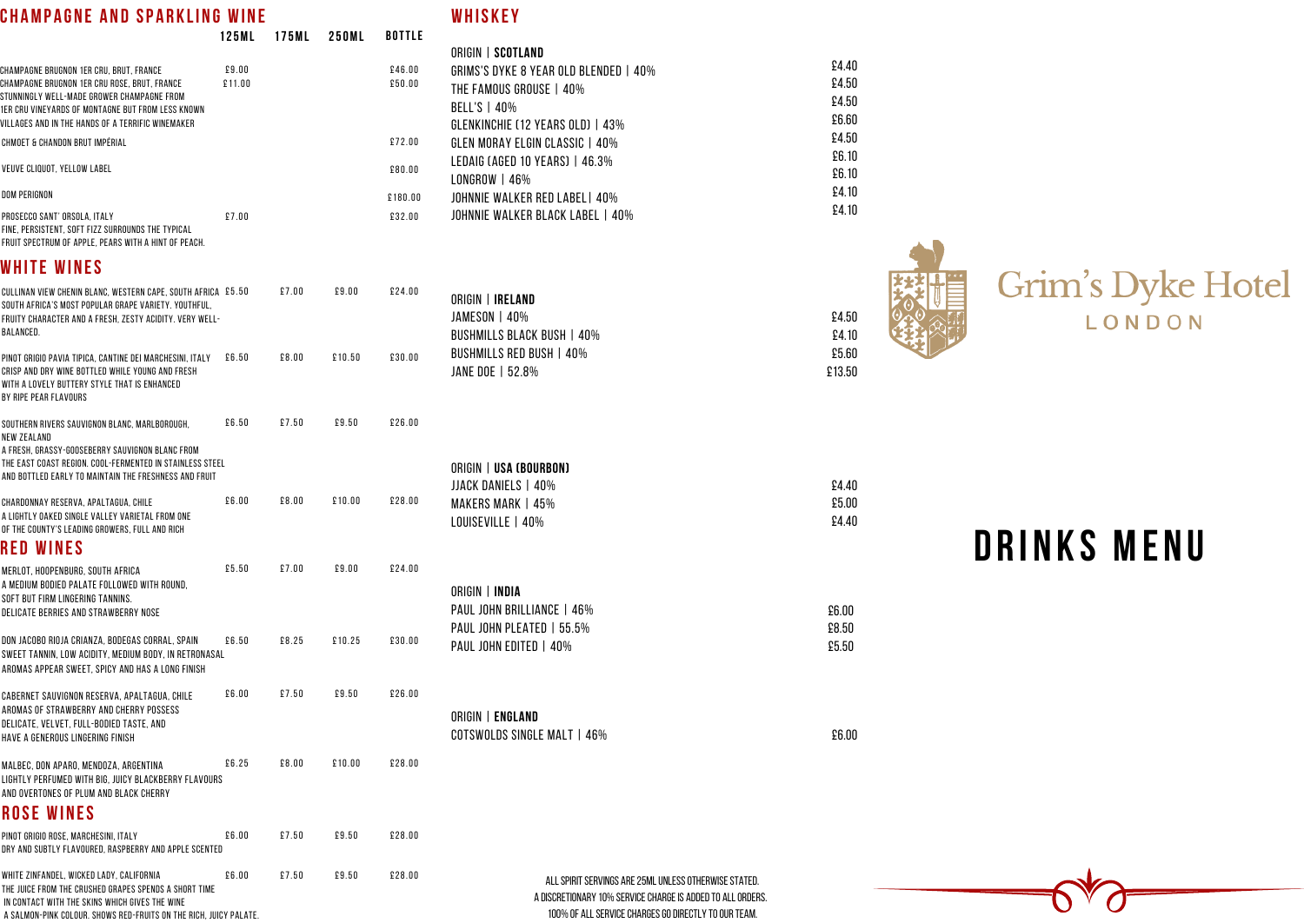# **D R I N K S M E N**

| CHAMPAGNE AND SPARKLING WINE                                                                                                                                                                                                                    |                 |              |        |                  | WHISKEY                                                                                                                                                                     |                                  |                         |
|-------------------------------------------------------------------------------------------------------------------------------------------------------------------------------------------------------------------------------------------------|-----------------|--------------|--------|------------------|-----------------------------------------------------------------------------------------------------------------------------------------------------------------------------|----------------------------------|-------------------------|
|                                                                                                                                                                                                                                                 | 125ML           | <b>175ML</b> | 250ML  | <b>BOTTLE</b>    |                                                                                                                                                                             |                                  |                         |
| CHAMPAGNE BRUGNON 1ER CRU, BRUT, FRANCE<br>CHAMPAGNE BRUGNON 1ER CRU ROSE, BRUT, FRANCE<br>STUNNINGLY WELL-MADE GROWER CHAMPAGNE FROM<br>1ER CRU VINEYARDS OF MONTAGNE BUT FROM LESS KNOWN<br>VILLAGES AND IN THE HANDS OF A TERRIFIC WINEMAKER | £9.00<br>£11.00 |              |        | £46.00<br>£50.00 | ORIGIN   SCOTLAND<br>GRIMS'S DYKE 8 YEAR OLD BLENDED   40%<br>THE FAMOUS GROUSE   40%<br><b>BELL'S   40%</b><br><b>GLENKINCHIE (12 YEARS OLD)   43%</b>                     | £4.40<br>£4.50<br>£4.50<br>£6.60 |                         |
| CHMOET & CHANDON BRUT IMPÉRIAL                                                                                                                                                                                                                  |                 |              |        | £72.00           | GLEN MORAY ELGIN CLASSIC   40%                                                                                                                                              | £4.50                            |                         |
| VEUVE CLIQUOT, YELLOW LABEL                                                                                                                                                                                                                     |                 |              |        | £80.00           | LEDAIG (AGED 10 YEARS)   46.3%<br>$LONGROW$   46%                                                                                                                           | £6.10<br>£6.10                   |                         |
| <b>DOM PERIGNON</b>                                                                                                                                                                                                                             |                 |              |        | £180.00          | JOHNNIE WALKER RED LABEL   40%                                                                                                                                              | £4.10                            |                         |
| PROSECCO SANT' ORSOLA, ITALY<br>FINE, PERSISTENT, SOFT FIZZ SURROUNDS THE TYPICAL<br>FRUIT SPECTRUM OF APPLE, PEARS WITH A HINT OF PEACH.                                                                                                       | £7.00           |              |        | £32.00           | JOHNNIE WALKER BLACK LABEL   40%                                                                                                                                            | £4.10                            |                         |
| <b>WHITE WINES</b>                                                                                                                                                                                                                              |                 |              |        |                  |                                                                                                                                                                             |                                  |                         |
| CULLINAN VIEW CHENIN BLANC, WESTERN CAPE, SOUTH AFRICA £5.50<br>SOUTH AFRICA'S MOST POPULAR GRAPE VARIETY. YOUTHFUL,<br>FRUITY CHARACTER AND A FRESH, ZESTY ACIDITY. VERY WELL-<br><b>BALANCED.</b>                                             |                 | £7.00        | £9.00  | £24.00           | ORIGIN   <b>IRELAND</b><br><b>JAMESON   40%</b><br><b>BUSHMILLS BLACK BUSH   40%</b>                                                                                        | £4.50<br>£4.10                   | Grim's Dyke I<br>LONDON |
| PINOT GRIGIO PAVIA TIPICA, CANTINE DEI MARCHESINI, ITALY<br>CRISP AND DRY WINE BOTTLED WHILE YOUNG AND FRESH<br>WITH A LOVELY BUTTERY STYLE THAT IS ENHANCED<br>BY RIPE PEAR FLAVOURS                                                           | £6.50           | £8.00        | £10.50 | £30.00           | <b>BUSHMILLS RED BUSH   40%</b><br>JANE DOE   52.8%                                                                                                                         | £5.60<br>£13.50                  |                         |
| SOUTHERN RIVERS SAUVIGNON BLANC, MARLBOROUGH,<br>NEW ZEALAND<br>A FRESH, GRASSY-GOOSEBERRY SAUVIGNON BLANC FROM<br>THE EAST COAST REGION. COOL-FERMENTED IN STAINLESS STEEL<br>AND BOTTLED EARLY TO MAINTAIN THE FRESHNESS AND FRUIT            | £6.50           | £7.50        | £9.50  | £26.00           | ORIGIN   USA (BOURBON)<br>JJACK DANIELS   40%                                                                                                                               | £4.40                            |                         |
| CHARDONNAY RESERVA, APALTAGUA, CHILE<br>A LIGHTLY OAKED SINGLE VALLEY VARIETAL FROM ONE<br>OF THE COUNTY'S LEADING GROWERS, FULL AND RICH                                                                                                       | £6.00           | £8.00        | £10.00 | £28.00           | <b>MAKERS MARK   45%</b><br>LOUISEVILLE   40%                                                                                                                               | £5.00<br>£4.40                   |                         |
| <b>RED WINES</b>                                                                                                                                                                                                                                |                 |              |        |                  |                                                                                                                                                                             |                                  | DRINKS MENU             |
| MERLOT, HOOPENBURG, SOUTH AFRICA<br>A MEDIUM BODIED PALATE FOLLOWED WITH ROUND.<br>SOFT BUT FIRM LINGERING TANNINS.<br>DELICATE BERRIES AND STRAWBERRY NOSE                                                                                     | £5.50           | £7.00        | £9.00  | £24.00           | ORIGIN   <b>INDIA</b><br>PAUL JOHN BRILLIANCE   46%                                                                                                                         | £6.00                            |                         |
| DON JACOBO RIOJA CRIANZA, BODEGAS CORRAL, SPAIN<br>SWEET TANNIN, LOW ACIDITY, MEDIUM BODY, IN RETRONASAL<br>AROMAS APPEAR SWEET, SPICY AND HAS A LONG FINISH                                                                                    | £6.50           | £8.25        | £10.25 | £30.00           | PAUL JOHN PLEATED   55.5%<br>PAUL JOHN EDITED   40%                                                                                                                         | £8.50<br>£5.50                   |                         |
| CABERNET SAUVIGNON RESERVA, APALTAGUA, CHILE<br>AROMAS OF STRAWBERRY AND CHERRY POSSESS<br>DELICATE, VELVET, FULL-BODIED TASTE, AND<br>HAVE A GENEROUS LINGERING FINISH                                                                         | £6.00           | £7.50        | £9.50  | £26.00           | ORIGIN   ENGLAND<br>COTSWOLDS SINGLE MALT   46%                                                                                                                             | £6.00                            |                         |
| MALBEC, DON APARO, MENDOZA, ARGENTINA<br>LIGHTLY PERFUMED WITH BIG, JUICY BLACKBERRY FLAVOURS<br>AND OVERTONES OF PLUM AND BLACK CHERRY<br><b>ROSE WINES</b>                                                                                    | £6.25           | £8.00        | £10.00 | £28.00           |                                                                                                                                                                             |                                  |                         |
| PINOT GRIGIO ROSE, MARCHESINI, ITALY<br>DRY AND SUBTLY FLAVOURED, RASPBERRY AND APPLE SCENTED                                                                                                                                                   | £6.00           | £7.50        | £9.50  | £28.00           |                                                                                                                                                                             |                                  |                         |
| WHITE ZINFANDEL, WICKED LADY, CALIFORNIA<br>THE JUICE FROM THE CRUSHED GRAPES SPENDS A SHORT TIME<br>IN CONTACT WITH THE SKINS WHICH GIVES THE WINE<br>A SALMON-PINK COLOUR. SHOWS RED-FRUITS ON THE RICH, JUICY PALATE.                        | £6.00           | £7.50        | £9.50  | £28.00           | ALL SPIRIT SERVINGS ARE 25ML UNLESS OTHERWISE STATED.<br>A DISCRETIONARY 10% SERVICE CHARGE IS ADDED TO ALL ORDERS.<br>100% OF ALL SERVICE CHARGES GO DIRECTLY TO OUR TEAM. |                                  |                         |